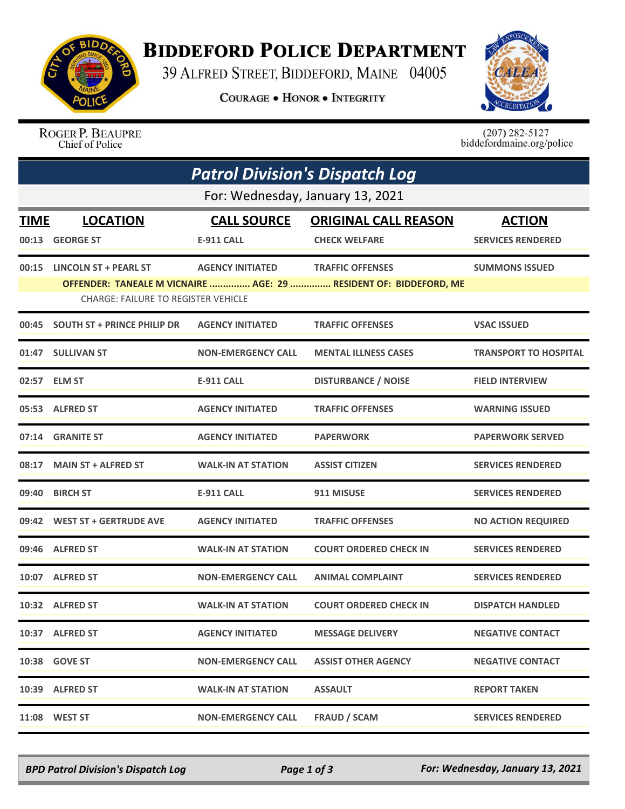

## **BIDDEFORD POLICE DEPARTMENT**

39 ALFRED STREET, BIDDEFORD, MAINE 04005

**COURAGE . HONOR . INTEGRITY** 



ROGER P. BEAUPRE Chief of Police

 $(207)$  282-5127<br>biddefordmaine.org/police

|             | <b>Patrol Division's Dispatch Log</b><br>For: Wednesday, January 13, 2021 |                           |                                                                   |                              |  |  |  |  |
|-------------|---------------------------------------------------------------------------|---------------------------|-------------------------------------------------------------------|------------------------------|--|--|--|--|
|             |                                                                           |                           |                                                                   |                              |  |  |  |  |
| <b>TIME</b> | <b>LOCATION</b>                                                           | <b>CALL SOURCE</b>        | <b>ORIGINAL CALL REASON</b>                                       | <b>ACTION</b>                |  |  |  |  |
| 00:13       | <b>GEORGE ST</b>                                                          | <b>E-911 CALL</b>         | <b>CHECK WELFARE</b>                                              | <b>SERVICES RENDERED</b>     |  |  |  |  |
| 00:15       | <b>LINCOLN ST + PEARL ST</b>                                              | <b>AGENCY INITIATED</b>   | <b>TRAFFIC OFFENSES</b>                                           | <b>SUMMONS ISSUED</b>        |  |  |  |  |
|             | <b>CHARGE: FAILURE TO REGISTER VEHICLE</b>                                |                           | OFFENDER: TANEALE M VICNAIRE  AGE: 29  RESIDENT OF: BIDDEFORD, ME |                              |  |  |  |  |
| 00:45       | <b>SOUTH ST + PRINCE PHILIP DR</b>                                        | <b>AGENCY INITIATED</b>   | <b>TRAFFIC OFFENSES</b>                                           | <b>VSAC ISSUED</b>           |  |  |  |  |
|             | 01:47 SULLIVAN ST                                                         | <b>NON-EMERGENCY CALL</b> | <b>MENTAL ILLNESS CASES</b>                                       | <b>TRANSPORT TO HOSPITAL</b> |  |  |  |  |
| 02:57       | <b>ELM ST</b>                                                             | <b>E-911 CALL</b>         | <b>DISTURBANCE / NOISE</b>                                        | <b>FIELD INTERVIEW</b>       |  |  |  |  |
|             | 05:53 ALFRED ST                                                           | <b>AGENCY INITIATED</b>   | <b>TRAFFIC OFFENSES</b>                                           | <b>WARNING ISSUED</b>        |  |  |  |  |
|             | 07:14 GRANITE ST                                                          | <b>AGENCY INITIATED</b>   | <b>PAPERWORK</b>                                                  | <b>PAPERWORK SERVED</b>      |  |  |  |  |
| 08:17       | <b>MAIN ST + ALFRED ST</b>                                                | <b>WALK-IN AT STATION</b> | <b>ASSIST CITIZEN</b>                                             | <b>SERVICES RENDERED</b>     |  |  |  |  |
| 09:40       | <b>BIRCH ST</b>                                                           | E-911 CALL                | 911 MISUSE                                                        | <b>SERVICES RENDERED</b>     |  |  |  |  |
|             | 09:42 WEST ST + GERTRUDE AVE                                              | <b>AGENCY INITIATED</b>   | <b>TRAFFIC OFFENSES</b>                                           | <b>NO ACTION REQUIRED</b>    |  |  |  |  |
|             | 09:46 ALFRED ST                                                           | <b>WALK-IN AT STATION</b> | <b>COURT ORDERED CHECK IN</b>                                     | <b>SERVICES RENDERED</b>     |  |  |  |  |
|             | 10:07 ALFRED ST                                                           | <b>NON-EMERGENCY CALL</b> | <b>ANIMAL COMPLAINT</b>                                           | <b>SERVICES RENDERED</b>     |  |  |  |  |
|             | 10:32 ALFRED ST                                                           | <b>WALK-IN AT STATION</b> | <b>COURT ORDERED CHECK IN</b>                                     | <b>DISPATCH HANDLED</b>      |  |  |  |  |
|             | 10:37 ALFRED ST                                                           | <b>AGENCY INITIATED</b>   | <b>MESSAGE DELIVERY</b>                                           | <b>NEGATIVE CONTACT</b>      |  |  |  |  |
|             | 10:38 GOVE ST                                                             | <b>NON-EMERGENCY CALL</b> | <b>ASSIST OTHER AGENCY</b>                                        | <b>NEGATIVE CONTACT</b>      |  |  |  |  |
|             | 10:39 ALFRED ST                                                           | <b>WALK-IN AT STATION</b> | <b>ASSAULT</b>                                                    | <b>REPORT TAKEN</b>          |  |  |  |  |
|             | 11:08 WEST ST                                                             | <b>NON-EMERGENCY CALL</b> | <b>FRAUD / SCAM</b>                                               | <b>SERVICES RENDERED</b>     |  |  |  |  |

*BPD Patrol Division's Dispatch Log Page 1 of 3 For: Wednesday, January 13, 2021*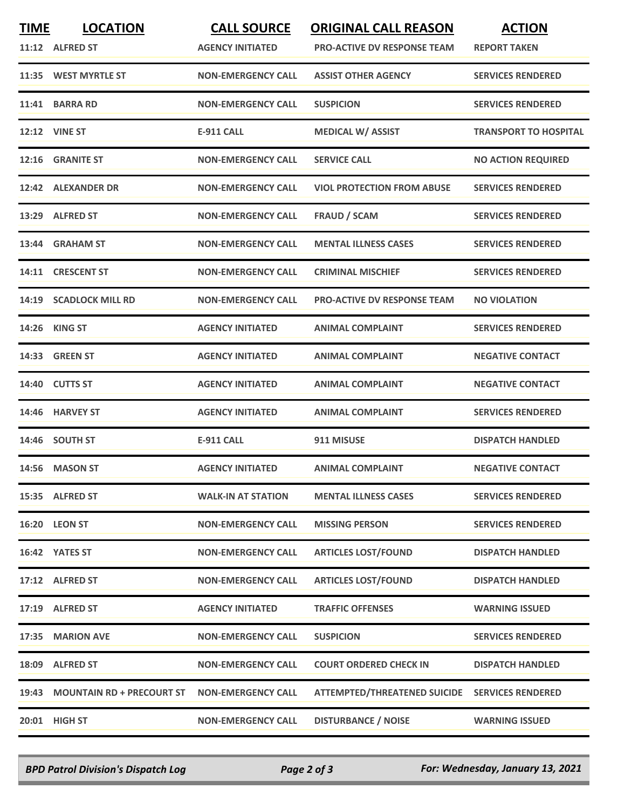| <b>TIME</b> | <b>LOCATION</b><br>11:12 ALFRED ST | <b>CALL SOURCE</b><br><b>AGENCY INITIATED</b> | <b>ORIGINAL CALL REASON</b><br><b>PRO-ACTIVE DV RESPONSE TEAM</b> | <b>ACTION</b><br><b>REPORT TAKEN</b> |
|-------------|------------------------------------|-----------------------------------------------|-------------------------------------------------------------------|--------------------------------------|
|             | 11:35 WEST MYRTLE ST               | <b>NON-EMERGENCY CALL</b>                     | <b>ASSIST OTHER AGENCY</b>                                        | <b>SERVICES RENDERED</b>             |
| 11:41       | <b>BARRA RD</b>                    | <b>NON-EMERGENCY CALL</b>                     | <b>SUSPICION</b>                                                  | <b>SERVICES RENDERED</b>             |
|             | <b>12:12 VINE ST</b>               | <b>E-911 CALL</b>                             | <b>MEDICAL W/ ASSIST</b>                                          | <b>TRANSPORT TO HOSPITAL</b>         |
| 12:16       | <b>GRANITE ST</b>                  | <b>NON-EMERGENCY CALL</b>                     | <b>SERVICE CALL</b>                                               | <b>NO ACTION REQUIRED</b>            |
|             | 12:42 ALEXANDER DR                 | <b>NON-EMERGENCY CALL</b>                     | <b>VIOL PROTECTION FROM ABUSE</b>                                 | <b>SERVICES RENDERED</b>             |
| 13:29       | <b>ALFRED ST</b>                   | <b>NON-EMERGENCY CALL</b>                     | <b>FRAUD / SCAM</b>                                               | <b>SERVICES RENDERED</b>             |
|             | 13:44 GRAHAM ST                    | <b>NON-EMERGENCY CALL</b>                     | <b>MENTAL ILLNESS CASES</b>                                       | <b>SERVICES RENDERED</b>             |
|             | 14:11 CRESCENT ST                  | <b>NON-EMERGENCY CALL</b>                     | <b>CRIMINAL MISCHIEF</b>                                          | <b>SERVICES RENDERED</b>             |
| 14:19       | <b>SCADLOCK MILL RD</b>            | <b>NON-EMERGENCY CALL</b>                     | PRO-ACTIVE DV RESPONSE TEAM                                       | <b>NO VIOLATION</b>                  |
|             | <b>14:26 KING ST</b>               | <b>AGENCY INITIATED</b>                       | <b>ANIMAL COMPLAINT</b>                                           | <b>SERVICES RENDERED</b>             |
| 14:33       | <b>GREEN ST</b>                    | <b>AGENCY INITIATED</b>                       | <b>ANIMAL COMPLAINT</b>                                           | <b>NEGATIVE CONTACT</b>              |
|             | 14:40 CUTTS ST                     | <b>AGENCY INITIATED</b>                       | <b>ANIMAL COMPLAINT</b>                                           | <b>NEGATIVE CONTACT</b>              |
|             | 14:46 HARVEY ST                    | <b>AGENCY INITIATED</b>                       | <b>ANIMAL COMPLAINT</b>                                           | <b>SERVICES RENDERED</b>             |
|             | 14:46 SOUTH ST                     | <b>E-911 CALL</b>                             | 911 MISUSE                                                        | <b>DISPATCH HANDLED</b>              |
|             | 14:56 MASON ST                     | <b>AGENCY INITIATED</b>                       | <b>ANIMAL COMPLAINT</b>                                           | <b>NEGATIVE CONTACT</b>              |
|             | 15:35 ALFRED ST                    | <b>WALK-IN AT STATION</b>                     | <b>MENTAL ILLNESS CASES</b>                                       | <b>SERVICES RENDERED</b>             |
|             | <b>16:20 LEON ST</b>               | <b>NON-EMERGENCY CALL</b>                     | <b>MISSING PERSON</b>                                             | <b>SERVICES RENDERED</b>             |
|             | 16:42 YATES ST                     | <b>NON-EMERGENCY CALL</b>                     | <b>ARTICLES LOST/FOUND</b>                                        | <b>DISPATCH HANDLED</b>              |
|             | 17:12 ALFRED ST                    | <b>NON-EMERGENCY CALL</b>                     | <b>ARTICLES LOST/FOUND</b>                                        | <b>DISPATCH HANDLED</b>              |
|             | 17:19 ALFRED ST                    | <b>AGENCY INITIATED</b>                       | <b>TRAFFIC OFFENSES</b>                                           | <b>WARNING ISSUED</b>                |
| 17:35       | <b>MARION AVE</b>                  | <b>NON-EMERGENCY CALL</b>                     | <b>SUSPICION</b>                                                  | <b>SERVICES RENDERED</b>             |
|             | 18:09 ALFRED ST                    | <b>NON-EMERGENCY CALL</b>                     | <b>COURT ORDERED CHECK IN</b>                                     | <b>DISPATCH HANDLED</b>              |
| 19:43       | <b>MOUNTAIN RD + PRECOURT ST</b>   | <b>NON-EMERGENCY CALL</b>                     | <b>ATTEMPTED/THREATENED SUICIDE</b>                               | <b>SERVICES RENDERED</b>             |
|             | 20:01 HIGH ST                      | <b>NON-EMERGENCY CALL</b>                     | <b>DISTURBANCE / NOISE</b>                                        | <b>WARNING ISSUED</b>                |

*BPD Patrol Division's Dispatch Log Page 2 of 3 For: Wednesday, January 13, 2021*